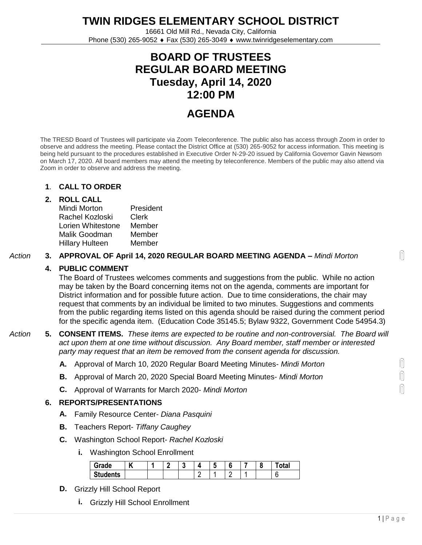**TWIN RIDGES ELEMENTARY SCHOOL DISTRICT**

16661 Old Mill Rd., Nevada City, California Phone (530) 265-9052 Fax (530) 265-3049 www.twinridgeselementary.com

# **BOARD OF TRUSTEES REGULAR BOARD MEETING Tuesday, April 14, 2020 12:00 PM**

# **AGENDA**

The TRESD Board of Trustees will participate via Zoom Teleconference. The public also has access through Zoom in order to observe and address the meeting. Please contact the District Office at (530) 265-9052 for access information. This meeting is being held pursuant to the procedures established in Executive Order N-29-20 issued by California Governor Gavin Newsom on March 17, 2020. All board members may attend the meeting by teleconference. Members of the public may also attend via Zoom in order to observe and address the meeting.

# **1**. **CALL TO ORDER**

#### **2. ROLL CALL**

Mindi Morton Rachel Kozloski Lorien Whitestone Malik Goodman Hillary Hulteen President Clerk Member Member Member

#### *Action* **3. APPROVAL OF April 14, 2020 REGULAR BOARD MEETING AGENDA –** *Mindi Morton*

# **4. PUBLIC COMMENT**

The Board of Trustees welcomes comments and suggestions from the public. While no action may be taken by the Board concerning items not on the agenda, comments are important for District information and for possible future action. Due to time considerations, the chair may request that comments by an individual be limited to two minutes. Suggestions and comments from the public regarding items listed on this agenda should be raised during the comment period for the specific agenda item. (Education Code 35145.5; Bylaw 9322, Government Code 54954.3)

# *Action* **5. CONSENT ITEMS.** *These items are expected to be routine and non-controversial. The Board will act upon them at one time without discussion. Any Board member, staff member or interested party may request that an item be removed from the consent agenda for discussion.*

- **A.** Approval of March 10, 2020 Regular Board Meeting Minutes- *Mindi Morton*
- **B.** Approval of March 20, 2020 Special Board Meeting Minutes- *Mindi Morton*
- **C.** Approval of Warrants for March 2020- *Mindi Morton*

# **6. REPORTS/PRESENTATIONS**

- **A.** Family Resource Center- *Diana Pasquini*
- **B.** Teachers Report- *Tiffany Caughey*
- **C.** Washington School Report- *Rachel Kozloski*
	- **i.** Washington School Enrollment

| Grade           | v |  | п. | ш | n |  | otal |
|-----------------|---|--|----|---|---|--|------|
| <b>Students</b> |   |  |    |   |   |  | ∼    |

- **D.** Grizzly Hill School Report
	- **i.** Grizzly Hill School Enrollment

 $\bigcap$ 

N